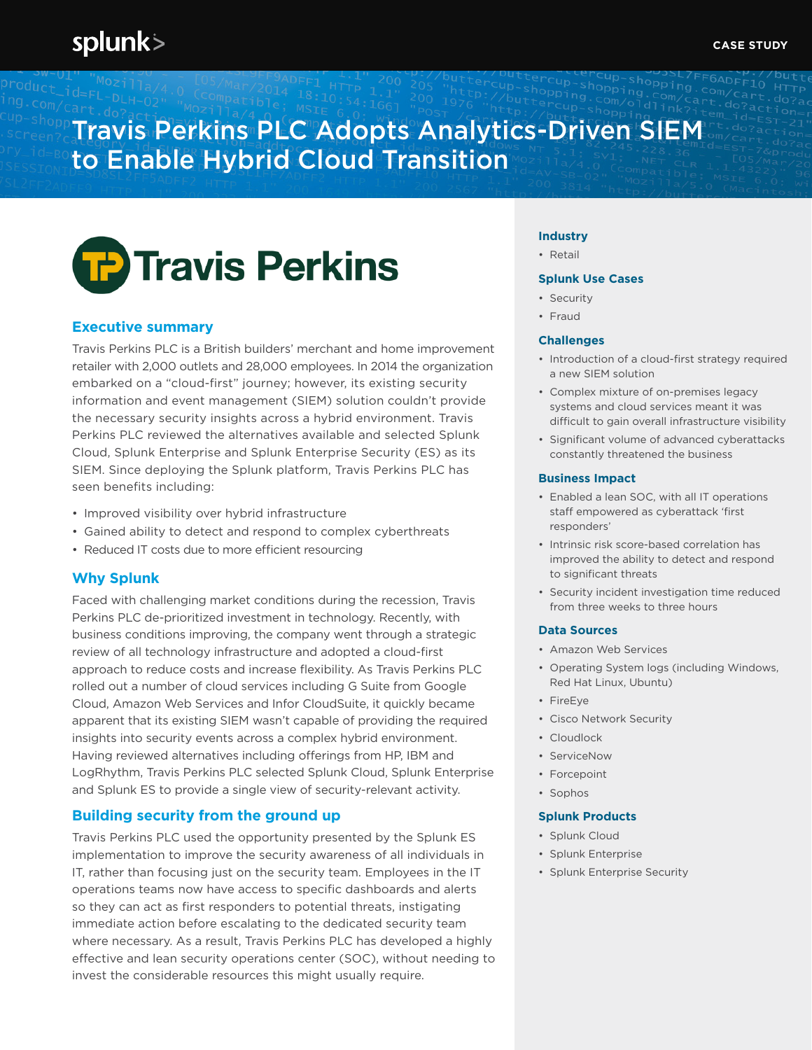## splunk>

# Travis Perkins PLC Adopts Analytics-Driven SIEM to Enable Hybrid Cloud Transition



## **Executive summary**

Travis Perkins PLC is a British builders' merchant and home improvement retailer with 2,000 outlets and 28,000 employees. In 2014 the organization embarked on a "cloud-first" journey; however, its existing security information and event management (SIEM) solution couldn't provide the necessary security insights across a hybrid environment. Travis Perkins PLC reviewed the alternatives available and selected Splunk Cloud, Splunk Enterprise and Splunk Enterprise Security (ES) as its SIEM. Since deploying the Splunk platform, Travis Perkins PLC has seen benefits including:

- Improved visibility over hybrid infrastructure
- Gained ability to detect and respond to complex cyberthreats
- Reduced IT costs due to more efficient resourcing

## **Why Splunk**

Faced with challenging market conditions during the recession, Travis Perkins PLC de-prioritized investment in technology. Recently, with business conditions improving, the company went through a strategic review of all technology infrastructure and adopted a cloud-first approach to reduce costs and increase flexibility. As Travis Perkins PLC rolled out a number of cloud services including G Suite from Google Cloud, Amazon Web Services and Infor CloudSuite, it quickly became apparent that its existing SIEM wasn't capable of providing the required insights into security events across a complex hybrid environment. Having reviewed alternatives including offerings from HP, IBM and LogRhythm, Travis Perkins PLC selected Splunk Cloud, Splunk Enterprise and Splunk ES to provide a single view of security-relevant activity.

## **Building security from the ground up**

Travis Perkins PLC used the opportunity presented by the Splunk ES implementation to improve the security awareness of all individuals in IT, rather than focusing just on the security team. Employees in the IT operations teams now have access to specific dashboards and alerts so they can act as first responders to potential threats, instigating immediate action before escalating to the dedicated security team where necessary. As a result, Travis Perkins PLC has developed a highly effective and lean security operations center (SOC), without needing to invest the considerable resources this might usually require.

#### **Industry**

• Retail

#### **Splunk Use Cases**

- Security
- Fraud

#### **Challenges**

- Introduction of a cloud-first strategy required a new SIEM solution
- Complex mixture of on-premises legacy systems and cloud services meant it was difficult to gain overall infrastructure visibility
- Significant volume of advanced cyberattacks constantly threatened the business

#### **Business Impact**

- Enabled a lean SOC, with all IT operations staff empowered as cyberattack 'first responders'
- Intrinsic risk score-based correlation has improved the ability to detect and respond to significant threats
- Security incident investigation time reduced from three weeks to three hours

## **Data Sources**

- Amazon Web Services
- Operating System logs (including Windows, Red Hat Linux, Ubuntu)
- FireEye
- Cisco Network Security
- Cloudlock
- ServiceNow
- Forcepoint
- Sophos

#### **Splunk Products**

- Splunk Cloud
- Splunk Enterprise
- Splunk Enterprise Security